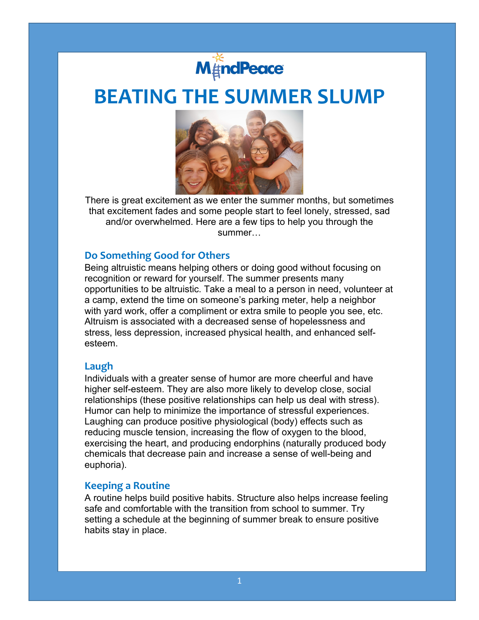

# **BEATING THE SUMMER SLUMP**



There is great excitement as we enter the summer months, but sometimes that excitement fades and some people start to feel lonely, stressed, sad and/or overwhelmed. Here are a few tips to help you through the summer…

## **Do Something Good for Others**

Being altruistic means helping others or doing good without focusing on recognition or reward for yourself. The summer presents many opportunities to be altruistic. Take a meal to a person in need, volunteer at a camp, extend the time on someone's parking meter, help a neighbor with yard work, offer a compliment or extra smile to people you see, etc. Altruism is associated with a decreased sense of hopelessness and stress, less depression, increased physical health, and enhanced selfesteem.

#### **Laugh**

Individuals with a greater sense of humor are more cheerful and have higher self-esteem. They are also more likely to develop close, social relationships (these positive relationships can help us deal with stress). Humor can help to minimize the importance of stressful experiences. Laughing can produce positive physiological (body) effects such as reducing muscle tension, increasing the flow of oxygen to the blood, exercising the heart, and producing endorphins (naturally produced body chemicals that decrease pain and increase a sense of well-being and euphoria).

#### **Keeping a Routine**

A routine helps build positive habits. Structure also helps increase feeling safe and comfortable with the transition from school to summer. Try setting a schedule at the beginning of summer break to ensure positive habits stay in place.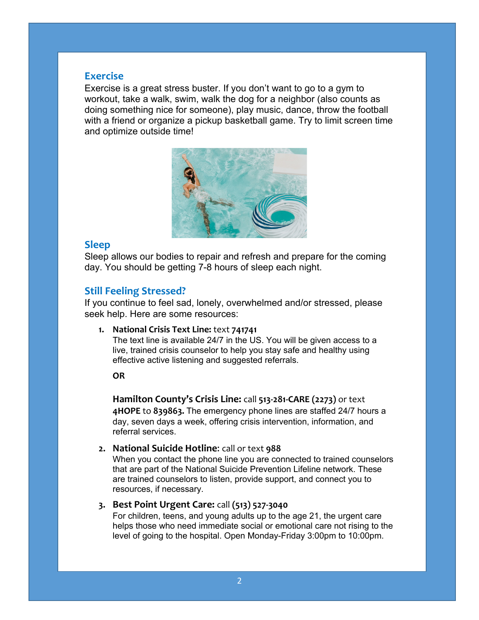## **Exercise**

Exercise is a great stress buster. If you don't want to go to a gym to workout, take a walk, swim, walk the dog for a neighbor (also counts as doing something nice for someone), play music, dance, throw the football with a friend or organize a pickup basketball game. Try to limit screen time and optimize outside time!



## **Sleep**

Sleep allows our bodies to repair and refresh and prepare for the coming day. You should be getting 7-8 hours of sleep each night.

## **Still Feeling Stressed?**

If you continue to feel sad, lonely, overwhelmed and/or stressed, please seek help. Here are some resources:

**1. National Crisis Text Line:** text **741741**

The text line is available 24/7 in the US. You will be given access to a live, trained crisis counselor to help you stay safe and healthy using effective active listening and suggested referrals.

#### **OR**

**Hamilton County's Crisis Line:** call **513-281-CARE (2273)** or text **4HOPE** to **839863.** The emergency phone lines are staffed 24/7 hours a day, seven days a week, offering crisis intervention, information, and referral services.

**2. National Suicide Hotline**: call or text **988** 

When you contact the phone line you are connected to trained counselors that are part of the National Suicide Prevention Lifeline network. These are trained counselors to listen, provide support, and connect you to resources, if necessary.

### **3. Best Point Urgent Care:** call **(513) 527-3040**

For children, teens, and young adults up to the age 21, the urgent care helps those who need immediate social or emotional care not rising to the level of going to the hospital. Open Monday-Friday 3:00pm to 10:00pm.